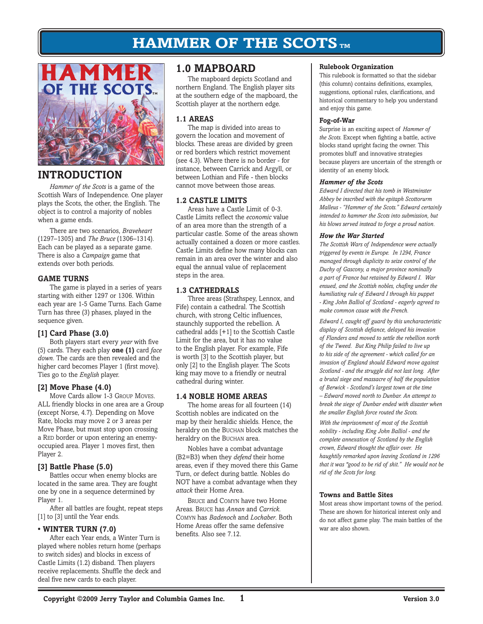

# **INTRODUCTION**

*Hammer of the Scots* is a game of the Scottish Wars of Independence. One player plays the Scots, the other, the English. The object is to control a majority of nobles when a game ends.

There are two scenarios, *Braveheart* (1297–1305) and *The Bruce* (1306–1314). Each can be played as a separate game. There is also a *Campaign* game that extends over both periods.

# **Game Turns**

The game is played in a series of years starting with either 1297 or 1306. Within each year are 1-5 Game Turns. Each Game Turn has three (3) phases, played in the sequence given.

# **[1] Card Phase (3.0)**

Both players start every *year* with five (5) cards. They each play **one (1)** card *face down.* The cards are then revealed and the higher card becomes Player 1 (first move). Ties go to the *English* player.

# **[2] Move Phase (4.0)**

Move Cards allow 1-3 Group Moves. ALL friendly blocks in one area are a Group (except Norse, 4.7). Depending on Move Rate, blocks may move 2 or 3 areas per Move Phase, but must stop upon crossing a RED border or upon entering an enemyoccupied area. Player 1 moves first, then Player 2.

# **[3] Battle Phase (5.0)**

Battles occur when enemy blocks are located in the same area. They are fought one by one in a sequence determined by Player 1.

After all battles are fought, repeat steps [1] to [3] until the Year ends.

# **• Winter Turn (7.0)**

After each Year ends, a Winter Turn is played where nobles return home (perhaps to switch sides) and blocks in excess of Castle Limits (1.2) disband. Then players receive replacements. Shuffle the deck and deal five new cards to each player.

# **1.0 MAPBOARD**

The mapboard depicts Scotland and northern England. The English player sits at the southern edge of the mapboard, the Scottish player at the northern edge.

# **1.1 AREAS**

The map is divided into areas to govern the location and movement of blocks. These areas are divided by green or red borders which restrict movement (see 4.3). Where there is no border - for instance, between Carrick and Argyll, or between Lothian and Fife - then blocks cannot move between those areas.

# **1.2 CASTLE LIMITS**

Areas have a Castle Limit of 0-3. Castle Limits reflect the *economic* value of an area more than the strength of a particular castle. Some of the areas shown actually contained a dozen or more castles. Castle Limits define how many blocks can remain in an area over the winter and also equal the annual value of replacement steps in the area.

# **1.3 Cathedrals**

Three areas (Strathspey, Lennox, and Fife) contain a cathedral. The Scottish church, with strong Celtic influences, staunchly supported the rebellion. A cathedral adds [+1] to the Scottish Castle Limit for the area, but it has no value to the English player. For example, Fife is worth [3] to the Scottish player, but only [2] to the English player. The Scots king may move to a friendly or neutral cathedral during winter.

# **1.4 Noble HOME Areas**

The home areas for all fourteen (14) Scottish nobles are indicated on the map by their heraldic shields. Hence, the heraldry on the BUCHAN block matches the heraldry on the BUCHAN area.

Nobles have a combat advantage (B2=B3) when they *defend* their home areas, even if they moved there this Game Turn, or defect during battle. Nobles do NOT have a combat advantage when they *attack* their Home Area.

Bruce and Comyn have two Home Areas. Bruce has *Annan* and *Carrick*. Comyn has *Badenoch* and *Lochaber*. Both Home Areas offer the same defensive benefits. Also see 7.12.

### **Rulebook Organization**

This rulebook is formatted so that the sidebar (this column) contains definitions, examples, suggestions, optional rules, clarifications, and historical commentary to help you understand and enjoy this game.

#### **Fog-of-War**

Surprise is an exciting aspect of *Hammer of the Scots.* Except when fighting a battle, active blocks stand upright facing the owner. This promotes bluff and innovative strategies because players are uncertain of the strength or identity of an enemy block.

#### *Hammer of the Scots*

*Edward I directed that his tomb in Westminster Abbey be inscribed with the epitaph Scottorurm Malleus - "Hammer of the Scots." Edward certainly intended to hammer the Scots into submission, but his blows served instead to forge a proud nation.* 

### *How the War Started*

*The Scottish Wars of Independence were actually triggered by events in Europe. In 1294, France managed through duplicity to seize control of the Duchy of Gascony, a major province nominally a part of France but retained by Edward I. War ensued, and the Scottish nobles, chafing under the humiliating rule of Edward I through his puppet - King John Balliol of Scotland - eagerly agreed to make common cause with the French.*

*Edward I, caught off guard by this uncharacteristic display of Scottish defiance, delayed his invasion of Flanders and moved to settle the rebellion north of the Tweed. But King Philip failed to live up to his side of the agreement - which called for an invasion of England should Edward move against Scotland - and the struggle did not last long. After a brutal siege and massacre of half the population of Berwick - Scotland's largest town at the time – Edward moved north to Dunbar. An attempt to break the siege of Dunbar ended with disaster when the smaller English force routed the Scots.* 

*With the imprisonment of most of the Scottish nobility - including King John Balliol - and the complete annexation of Scotland by the English crown, Edward thought the affair over. He haughtily remarked upon leaving Scotland in 1296 that it was "good to be rid of shit." He would not be rid of the Scots for long.*

### **Towns and Battle Sites**

Most areas show important towns of the period. These are shown for historical interest only and do not affect game play. The main battles of the war are also shown.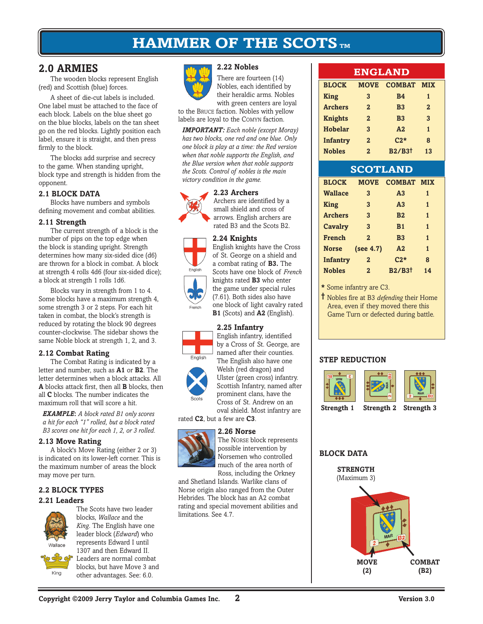**2.22 Nobles**

# **2.0 armies**

The wooden blocks represent English (red) and Scottish (blue) forces.

A sheet of die-cut labels is included. One label must be attached to the face of each block. Labels on the blue sheet go on the blue blocks, labels on the tan sheet go on the red blocks. Lightly position each label, ensure it is straight, and then press firmly to the block.

The blocks add surprise and secrecy to the game. When standing upright, block type and strength is hidden from the opponent.

# **2.1 block DATA**

Blocks have numbers and symbols defining movement and combat abilities.

### **2.11 Strength**

The current strength of a block is the number of pips on the top edge when the block is standing upright. Strength determines how many six-sided dice (d6) are thrown for a block in combat. A block at strength 4 rolls 4d6 (four six-sided dice); a block at strength 1 rolls 1d6.

Blocks vary in strength from 1 to 4. Some blocks have a maximum strength 4, some strength 3 or 2 steps. For each hit taken in combat, the block's strength is reduced by rotating the block 90 degrees counter-clockwise. The sidebar shows the same Noble block at strength 1, 2, and 3.

# **2.12 Combat Rating**

The Combat Rating is indicated by a letter and number, such as **A1** or **B2**. The letter determines when a block attacks. All **A** blocks attack first, then all **B** blocks, then all **C** blocks. The number indicates the maximum roll that will score a hit.

*Example***:** *A block rated B1 only scores a hit for each "1" rolled, but a block rated B3 scores one hit for each 1, 2, or 3 rolled.*

# **2.13 Move Rating**

A block's Move Rating (either 2 or 3) is indicated on its lower-left corner. This is the maximum number of areas the block may move per turn.

# **2.2 BLOCK TYPES**

### **2.21 Leaders**



The Scots have two leader blocks, *Wallace* and the *King*. The English have one leader block (*Edward*) who represents Edward I until 1307 and then Edward II.



Leaders are normal combat blocks, but have Move 3 and other advantages. See: 6.0.



There are fourteen (14) Nobles, each identified by their heraldic arms. Nobles with green centers are loyal

to the Bruce faction. Nobles with yellow labels are loyal to the Comyn faction.

*Important: Each noble (except Moray) has two blocks, one red and one blue. Only one block is play at a time: the Red version when that noble supports the English, and the Blue version when that noble supports the Scots. Control of nobles is the main victory condition in the game.* 

# **2.23 Archers**



English

Archers are identified by a small shield and cross of arrows. English archers are rated B3 and the Scots B2.

### **2.24 Knights**

English knights have the Cross of St. George on a shield and a combat rating of **B3.** The Scots have one block of *French* knights rated **B3** who enter the game under special rules (7.61). Both sides also have one block of light cavalry rated **B1** (Scots) and **A2** (English).

# **2.25 Infantry**



English infantry, identified by a Cross of St. George, are named after their counties. The English also have one Welsh (red dragon) and Ulster (green cross) infantry. Scottish Infantry, named after prominent clans, have the Cross of St. Andrew on an oval shield. Most infantry are

rated **C2**, but a few are **C3**.

### **2.26 Norse**



The Norse block represents possible intervention by Norsemen who controlled much of the area north of Ross, including the Orkney

and Shetland Islands. Warlike clans of Norse origin also ranged from the Outer Hebrides. The block has an A2 combat rating and special movement abilities and limitations. See 4.7.

# **ENGLAND**

| <b>BLOCK</b>    | <b>MOVE</b>    | <b>COMBAT</b> | <b>MIX</b>   |  |
|-----------------|----------------|---------------|--------------|--|
| <b>King</b>     | 3              | <b>B4</b>     | 1            |  |
| <b>Archers</b>  | $\bf{2}$       | <b>B3</b>     | $\mathbf{2}$ |  |
| <b>Knights</b>  | $\bf{2}$       | <b>B3</b>     | 3            |  |
| <b>Hobelar</b>  | 3              | A2            | 1            |  |
| <b>Infantry</b> | $\overline{2}$ | $C2*$         | 8            |  |
| <b>Nobles</b>   | $\bf{2}$       | <b>B2/B3t</b> | 13           |  |

| <b>SCOTLAND</b> |                |                   |              |  |  |
|-----------------|----------------|-------------------|--------------|--|--|
| <b>BLOCK</b>    | <b>MOVE</b>    | <b>COMBAT MIX</b> |              |  |  |
| <b>Wallace</b>  | 3              | A <sub>3</sub>    | 1            |  |  |
| <b>King</b>     | 3              | A <sub>3</sub>    | 1            |  |  |
| <b>Archers</b>  | 3              | B <sub>2</sub>    | 1            |  |  |
| Cavalry         | 3              | B <sub>1</sub>    | $\mathbf{1}$ |  |  |
| <b>French</b>   | $\overline{2}$ | B <sub>3</sub>    | 1            |  |  |
| <b>Norse</b>    | (see 4.7)      | A2                | 1            |  |  |
| <b>Infantry</b> | $\overline{2}$ | $C2*$             | 8            |  |  |
| <b>Nobles</b>   | $\overline{2}$ | <b>B2/B3t</b>     | 14           |  |  |

**\*** Some infantry are C3.

**†** Nobles fire at B3 *defending* their Home Area, even if they moved there this Game Turn or defected during battle.

# **Step Reduction**



**BLOCK DATA**



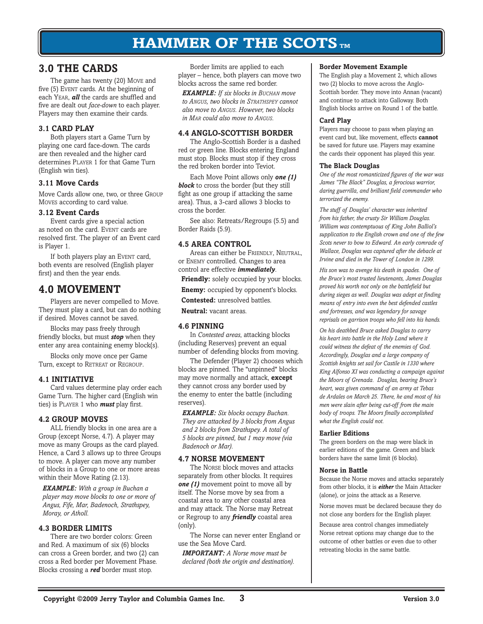# **3.0 THE CARDS**

The game has twenty (20) Move and five (5) EVENT cards. At the beginning of each Year, *all* the cards are shuffled and five are dealt out *face-down* to each player. Players may then examine their cards.

# **3.1 Card Play**

Both players start a Game Turn by playing one card face-down. The cards are then revealed and the higher card determines PLAYER 1 for that Game Turn (English win ties).

# **3.11 Move Cards**

Move Cards allow one, two, or three Group Moves according to card value.

# **3.12 Event Cards**

Event cards give a special action as noted on the card. EVENT cards are resolved first. The player of an Event card is Player 1.

If both players play an EVENT card, both events are resolved (English player first) and then the year ends.

# **4.0 Movement**

Players are never compelled to Move. They must play a card, but can do nothing if desired. Moves cannot be saved.

Blocks may pass freely through friendly blocks, but must *stop* when they enter any area containing enemy block(s).

Blocks only move once per Game Turn, except to RETREAT or REGROUP.

# **4.1 Initiative**

Card values determine play order each Game Turn. The higher card (English win ties) is Player 1 who *must* play first.

# **4.2 Group Moves**

ALL friendly blocks in one area are a Group (except Norse, 4.7). A player may move as many Groups as the card played. Hence, a Card 3 allows up to three Groups to move. A player can move any number of blocks in a Group to one or more areas within their Move Rating (2.13).

*Example: With a group in Buchan a player may move blocks to one or more of Angus, Fife, Mar, Badenoch, Strathspey, Moray, or Atholl.*

# **4.3 Border Limits**

There are two border colors: Green and Red. A maximum of six (6) blocks can cross a Green border, and two (2) can cross a Red border per Movement Phase. Blocks crossing a *red* border must stop.

Border limits are applied to each player – hence, both players can move two blocks across the same red border.

*Example: If six blocks in Buchan move to Angus, two blocks in Strathspey cannot also move to Angus. However, two blocks in Mar could also move to Angus.* 

# **4.4 ANGLO-SCOTTISH BORDER**

The Anglo-Scottish Border is a dashed red or green line. Blocks entering England must stop. Blocks must stop if they cross the red broken border into Teviot.

Each Move Point allows only *one (1)*  **block** to cross the border (but they still fight as one group if attacking the same area). Thus, a 3-card allows 3 blocks to cross the border.

See also: Retreats/Regroups (5.5) and Border Raids (5.9).

# **4.5 AREA CONTROL**

Areas can either be FRIENDLY, NEUTRAL, or Enemy controlled. Changes to area control are effective *immediately*.

**Friendly:** solely occupied by your blocks.

**Enemy:** occupied by opponent's blocks.

**Contested:** unresolved battles.

**Neutral:** vacant areas.

# **4.6 Pinning**

In *Contested areas*, attacking blocks (including Reserves) prevent an equal number of defending blocks from moving*.*

The Defender (Player 2) chooses which blocks are pinned. The "unpinned" blocks may move normally and attack, **except** they cannot cross any border used by the enemy to enter the battle (including reserves).

*Example: Six blocks occupy Buchan. They are attacked by 3 blocks from Angus and 2 blocks from Strathspey. A total of 5 blocks are pinned, but 1 may move (via Badenoch or Mar).*

# **4.7 NORSE MOVEMENT**

The Norse block moves and attacks separately from other blocks. It requires *one (1)* movement point to move all by itself. The Norse move by sea from a coastal area to any other coastal area and may attack. The Norse may Retreat or Regroup to any *friendly* coastal area (only).

The Norse can never enter England or use the Sea Move Card.

*IMPORTANT: A Norse move must be declared (both the origin and destination).*

### **Border Movement Example**

The English play a Movement 2, which allows two (2) blocks to move across the Anglo-Scottish border. They move into Annan (vacant) and continue to attack into Galloway. Both English blocks arrive on Round 1 of the battle.

### **Card Play**

Players may choose to pass when playing an event card but, like movement, effects **cannot** be saved for future use. Players may examine the cards their opponent has played this year.

### **The Black Douglas**

*One of the most romanticized figures of the war was James "The Black" Douglas, a ferocious warrior, daring guerrilla, and brilliant field commander who terrorized the enemy.*

*The stuff of Douglas' character was inherited from his father, the crusty Sir William Douglas. William was contemptuous of King John Balliol's supplication to the English crown and one of the few Scots never to bow to Edward. An early comrade of Wallace, Douglas was captured after the debacle at Irvine and died in the Tower of London in 1299.*

*His son was to avenge his death in spades. One of the Bruce's most trusted lieutenants, James Douglas proved his worth not only on the battlefield but during sieges as well. Douglas was adept at finding means of entry into even the best defended castles and fortresses, and was legendary for savage reprisals on garrison troops who fell into his hands.*

*On his deathbed Bruce asked Douglas to carry his heart into battle in the Holy Land where it could witness the defeat of the enemies of God. Accordingly, Douglas and a large company of Scottish knights set sail for Castile in 1330 where King Alfonso XI was conducting a campaign against the Moors of Grenada. Douglas, bearing Bruce's heart, was given command of an army at Tebas de Ardales on March 25. There, he and most of his men were slain after being cut-off from the main body of troops. The Moors finally accomplished what the English could not.*

# **Earlier Editions**

The green borders on the map were black in earlier editions of the game. Green and black borders have the same limit (6 blocks).

### **Norse in Battle**

Because the Norse moves and attacks separately from other blocks, it is *either* the Main Attacker (alone), or joins the attack as a Reserve.

Norse moves must be declared because they do not close any borders for the English player.

Because area control changes immediately Norse retreat options may change due to the outcome of other battles or even due to other retreating blocks in the same battle.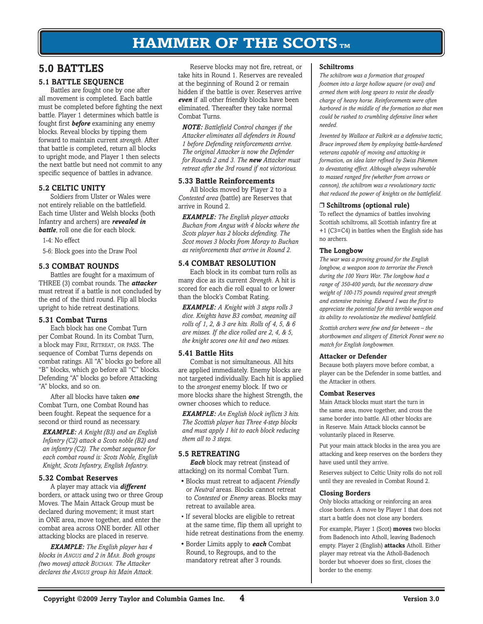# **5.0 BATTLES**

# **5.1 Battle SEQUENCE**

Battles are fought one by one after all movement is completed. Each battle must be completed before fighting the next battle. Player 1 determines which battle is fought first *before* examining any enemy blocks. Reveal blocks by tipping them forward to maintain current *strength*. After that battle is completed, return all blocks to upright mode, and Player 1 then selects the next battle but need not commit to any specific sequence of battles in advance.

# **5.2 CELTIC UNITY**

Soldiers from Ulster or Wales were not entirely reliable on the battlefield. Each time Ulster and Welsh blocks (both Infantry and archers) are *revealed in battle*, roll one die for each block.

1-4: No effect

5-6: Block goes into the Draw Pool

# **5.3 COMBAT ROUNDS**

Battles are fought for a maximum of THREE (3) combat rounds. The *attacker* must retreat if a battle is not concluded by the end of the third round. Flip all blocks upright to hide retreat destinations.

# **5.31 Combat Turns**

Each block has one Combat Turn per Combat Round. In its Combat Turn, a block may Fire, Retreat, or pass. The sequence of Combat Turns depends on combat ratings. All "A" blocks go before all "B" blocks, which go before all "C" blocks. Defending "A" blocks go before Attacking "A" blocks, and so on.

After all blocks have taken *one* Combat Turn, one Combat Round has been fought. Repeat the sequence for a second or third round as necessary.

*Example: A Knight (B3) and an English Infantry (C2) attack a Scots noble (B2) and an infantry (C2). The combat sequence for each combat round is: Scots Noble, English Knight, Scots Infantry, English Infantry.*

# **5.32 Combat Reserves**

A player may attack via *different* borders, or attack using two or three Group Moves. The Main Attack Group must be declared during movement; it must start in ONE area, move together, and enter the combat area across ONE border. All other attacking blocks are placed in reserve.

*Example: The English player has 4 blocks in Angus and 2 in Mar. Both groups (two moves) attack Buchan. The Attacker declares the Angus group his Main Attack.* 

Reserve blocks may not fire, retreat, or take hits in Round 1. Reserves are revealed at the beginning of Round 2 or remain hidden if the battle is over. Reserves arrive *even* if all other friendly blocks have been eliminated. Thereafter they take normal Combat Turns.

*NOTE: Battlefield Control changes if the Attacker eliminates all defenders in Round 1 before Defending reinforcements arrive. The original Attacker is now the Defender for Rounds 2 and 3. The new Attacker must retreat after the 3rd round if not victorious.*

### **5.33 Battle Reinforcements**

All blocks moved by Player 2 to a *Contested area* (battle) are Reserves that arrive in Round 2.

*Example: The English player attacks Buchan from Angus with 4 blocks where the Scots player has 2 blocks defending. The Scot moves 3 blocks from Moray to Buchan as reinforcements that arrive in Round 2.* 

# **5.4 COMBAT RESOLUTION**

Each block in its combat turn rolls as many dice as its current *Strength*. A hit is scored for each die roll equal to or lower than the block's Combat Rating.

*Example: A Knight with 3 steps rolls 3 dice. Knights have B3 combat, meaning all rolls of 1, 2, & 3 are hits. Rolls of 4, 5, & 6 are misses. If the dice rolled are 2, 4, & 5, the knight scores one hit and two misses.*

# **5.41 Battle Hits**

Combat is not simultaneous. All hits are applied immediately. Enemy blocks are not targeted individually. Each hit is applied to the *strongest* enemy block. If two or more blocks share the highest Strength, the owner chooses which to reduce.

*Example: An English block inflicts 3 hits. The Scottish player has Three 4-step blocks and must apply 1 hit to each block reducing them all to 3 steps.*

# **5.5 Retreating**

*Each* block may retreat (instead of attacking) on its normal Combat Turn.

- Blocks must retreat to adjacent *Friendly* or *Neutral* areas. Blocks cannot retreat to *Contested* or *Enemy* areas. Blocks may retreat to available area.
- If several blocks are eligible to retreat at the same time, flip them all upright to hide retreat destinations from the enemy.
- Border Limits apply to *each* Combat Round, to Regroups, and to the mandatory retreat after 3 rounds.

### **Schiltroms**

*The schiltrom was a formation that grouped footmen into a large hollow square (or oval) and armed them with long spears to resist the deadly charge of heavy horse. Reinforcements were often harbored in the middle of the formation so that men could be rushed to crumbling defensive lines when needed.* 

*Invented by Wallace at Falkirk as a defensive tactic, Bruce improved them by employing battle-hardened veterans capable of moving and attacking in formation, an idea later refined by Swiss Pikemen to devastating effect. Although always vulnerable to massed ranged fire (whether from arrows or cannon), the schiltrom was a revolutionary tactic that reduced the power of knights on the battlefield.* 

### ❒ **Schiltroms (optional rule)**

To reflect the dynamics of battles involving Scottish schiltroms, all Scottish infantry fire at +1 (C3=C4) in battles when the English side has no archers.

### **The Longbow**

*The war was a proving ground for the English longbow, a weapon soon to terrorize the French during the 100 Years War. The longbow had a range of 350-400 yards, but the necessary draw weight of 100-175 pounds required great strength and extensive training. Edward I was the first to appreciate the potential for this terrible weapon and its ability to revolutionize the medieval battlefield.* 

*Scottish archers were few and far between – the shortbowmen and slingers of Etterick Forest were no match for English longbowmen.*

### **Attacker or Defender**

Because both players move before combat, a player can be the Defender in some battles, and the Attacker in others.

### **Combat Reserves**

Main Attack blocks must start the turn in the same area, move together, and cross the same border into battle. All other blocks are in Reserve. Main Attack blocks cannot be voluntarily placed in Reserve.

Put your main attack blocks in the area you are attacking and keep reserves on the borders they have used until they arrive.

Reserves subject to Celtic Unity rolls do not roll until they are revealed in Combat Round 2.

# **Closing Borders**

Only blocks attacking or reinforcing an area close borders. A move by Player 1 that does not start a battle does not close any borders.

For example, Player 1 (Scot) **moves** two blocks from Badenoch into Atholl, leaving Badenoch empty. Player 2 (English) **attacks** Atholl. Either player may retreat via the Atholl-Badenoch border but whoever does so first, closes the border to the enemy.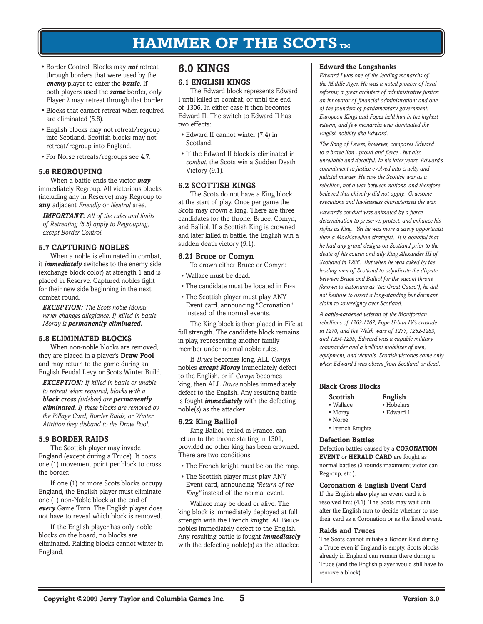- Border Control: Blocks may *not* retreat through borders that were used by the *enemy* player to enter the *battle*. If both players used the *same* border, only Player 2 may retreat through that border.
- Blocks that cannot retreat when required are eliminated (5.8).
- English blocks may not retreat/regroup into Scotland. Scottish blocks may not retreat/regroup into England.
- For Norse retreats/regroups see 4.7.

### **5.6 REGROUPING**

When a battle ends the victor *may* immediately Regroup. All victorious blocks (including any in Reserve) may Regroup to **any** adjacent *Friendly* or *Neutral* area.

*IMPORTANT: All of the rules and limits of Retreating (5.5) apply to Regrouping, except Border Control.*

### **5.7 Capturing Nobles**

When a noble is eliminated in combat, it *immediately* switches to the enemy side (exchange block color) at strength 1 and is placed in Reserve. Captured nobles fight for their new side beginning in the next combat round.

*Exception: The Scots noble Moray never changes allegiance. If killed in battle Moray is permanently eliminated.*

### **5.8 ELIMINATED BLOCKS**

When non-noble blocks are removed, they are placed in a player's **Draw Pool**  and may return to the game during an English Feudal Levy or Scots Winter Build.

*EXCEPTION: If killed in battle or unable to retreat when required, blocks with a black cross (sidebar) are permanently eliminated. If these blocks are removed by the Pillage Card, Border Raids, or Winter Attrition they disband to the Draw Pool.*

### **5.9 BORDER RAIDS**

The Scottish player may invade England (except during a Truce). It costs one (1) movement point per block to cross the border.

If one (1) or more Scots blocks occupy England, the English player must eliminate one (1) non-Noble block at the end of *every* Game Turn. The English player does not have to reveal which block is removed.

If the English player has only noble blocks on the board, no blocks are eliminated. Raiding blocks cannot winter in England.

# **6.0 Kings**

### **6.1 English Kings**

The Edward block represents Edward I until killed in combat, or until the end of 1306. In either case it then becomes Edward II. The switch to Edward II has two effects:

- Edward II cannot winter (7.4) in Scotland.
- If the Edward II block is eliminated in *combat*, the Scots win a Sudden Death Victory (9.1).

### **6.2 Scottish Kings**

The Scots do not have a King block at the start of play. Once per game the Scots may crown a king. There are three candidates for the throne: Bruce, Comyn, and Balliol. If a Scottish King is crowned and later killed in battle, the English win a sudden death victory (9.1).

### **6.21 Bruce or Comyn**

To crown either Bruce or Comyn:

- Wallace must be dead.
- The candidate must be located in FIFE.
- The Scottish player must play ANY Event card, announcing "Coronation" instead of the normal events.

The King block is then placed in Fife at full strength. The candidate block remains in play, representing another family member under normal noble rules.

If *Bruce* becomes king, ALL *Comyn* nobles *except Moray* immediately defect to the English, or if *Comyn* becomes king, then ALL *Bruce* nobles immediately defect to the English. Any resulting battle is fought *immediately* with the defecting noble(s) as the attacker.

### **6.22 King Balliol**

King Balliol, exiled in France, can return to the throne starting in 1301, provided no other king has been crowned. There are two conditions:

- The French knight must be on the map.
- The Scottish player must play ANY Event card, announcing *"Return of the King"* instead of the normal event.

Wallace may be dead or alive. The king block is immediately deployed at full strength with the French knight. All Bruce nobles immediately defect to the English. Any resulting battle is fought *immediately* with the defecting noble(s) as the attacker.

### **Edward the Longshanks**

*Edward I was one of the leading monarchs of the Middle Ages. He was a noted pioneer of legal reforms; a great architect of administrative justice; an innovator of financial administration; and one of the founders of parliamentary government. European Kings and Popes held him in the highest esteem, and few monarchs ever dominated the English nobility like Edward.* 

*The Song of Lewes, however, compares Edward to a brave lion - proud and fierce - but also unreliable and deceitful. In his later years, Edward's commitment to justice evolved into cruelty and judicial murder. He saw the Scottish war as a rebellion, not a war between nations, and therefore believed that chivalry did not apply. Gruesome executions and lawlessness characterized the war.*

*Edward's conduct was animated by a fierce determination to preserve, protect, and enhance his rights as King. Yet he was more a savvy opportunist than a Machiavellian strategist. It is doubtful that he had any grand designs on Scotland prior to the death of his cousin and ally King Alexander III of Scotland in 1286. But when he was asked by the leading men of Scotland to adjudicate the dispute between Bruce and Balliol for the vacant throne (known to historians as "the Great Cause"), he did not hesitate to assert a long-standing but dormant claim to sovereignty over Scotland.*

*A battle-hardened veteran of the Montfortian rebellions of 1263-1267, Pope Urban IV's crusade in 1270, and the Welsh wars of 1277, 1282-1283, and 1294-1295, Edward was a capable military commander and a brilliant mobilizer of men, equipment, and victuals. Scottish victories came only when Edward I was absent from Scotland or dead.* 

### **Black Cross Blocks**

| Scottish          | <b>English</b> |  |
|-------------------|----------------|--|
| $\bullet$ Wallace | • Hobelars     |  |
| • Moray           | • Edward I     |  |

- Norse
- French Knights

#### **Defection Battles**

Defection battles caused by a **CORONATION EVENT** or **HERALD CARD** are fought as normal battles (3 rounds maximum; victor can Regroup, etc.).

#### **Coronation & English Event Card**

If the English **also** play an event card it is resolved first (4.1). The Scots may wait until after the English turn to decide whether to use their card as a Coronation or as the listed event.

#### **Raids and Truces**

The Scots cannot initiate a Border Raid during a Truce even if England is empty. Scots blocks already in England can remain there during a Truce (and the English player would still have to remove a block).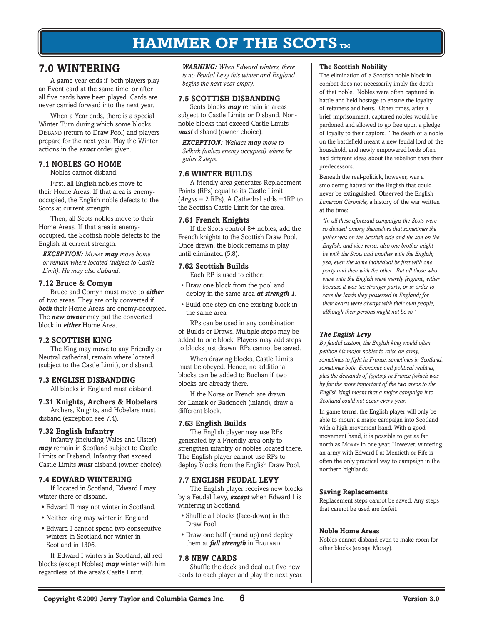# **7.0 Wintering**

A game year ends if both players play an Event card at the same time, or after all five cards have been played. Cards are never carried forward into the next year.

When a Year ends, there is a special Winter Turn during which some blocks Disband (return to Draw Pool) and players prepare for the next year. Play the Winter actions in the *exact* order given.

# **7.1 Nobles GO HOME**

Nobles cannot disband.

First, all English nobles move to their Home Areas. If that area is enemyoccupied, the English noble defects to the Scots at current strength.

Then, all Scots nobles move to their Home Areas. If that area is enemyoccupied, the Scottish noble defects to the English at current strength.

*Exception: Moray may move home or remain where located (subject to Castle Limit). He may also disband.* 

### **7.12 Bruce & Comyn**

Bruce and Comyn must move to *either* of two areas. They are only converted if *both* their Home Areas are enemy-occupied. The *new owner* may put the converted block in *either* Home Area.

# **7.2 SCOTTISH KING**

The King may move to any Friendly or Neutral cathedral, remain where located (subject to the Castle Limit), or disband.

# **7.3 English DISBANDING**

All blocks in England must disband.

#### **7.31 Knights, Archers & Hobelars** Archers, Knights, and Hobelars must

disband (exception see 7.4).

# **7.32 English Infantry**

Infantry (including Wales and Ulster) *may* remain in Scotland subject to Castle Limits or Disband. Infantry that exceed Castle Limits *must* disband (owner choice).

# **7.4 Edward WINTERING**

If located in Scotland, Edward I may winter there or disband.

- Edward II may not winter in Scotland.
- Neither king may winter in England.
- Edward I cannot spend two consecutive winters in Scotland nor winter in Scotland in 1306.

If Edward I winters in Scotland, all red blocks (except Nobles) *may* winter with him regardless of the area's Castle Limit.

**WARNING:** When Edward winters, there *is no Feudal Levy this winter and England begins the next year empty.*

# **7.5 Scottish DISBANDING**

Scots blocks *may* remain in areas subject to Castle Limits or Disband. Nonnoble blocks that exceed Castle Limits *must* disband (owner choice).

*Exception: Wallace may move to Selkirk (unless enemy occupied) where he gains 2 steps.*

### **7.6 winter builds**

A friendly area generates Replacement Points (RPs) equal to its Castle Limit (*Angus* = 2 RPs). A Cathedral adds +1RP to the Scottish Castle Limit for the area.

# **7.61 French Knights**

If the Scots control 8+ nobles, add the French knights to the Scottish Draw Pool. Once drawn, the block remains in play until eliminated (5.8).

### **7.62 Scottish Builds**

Each RP is used to either:

- Draw one block from the pool and deploy in the same area *at strength 1.*
- Build one step on one existing block in the same area.

RPs can be used in any combination of Builds or Draws. Multiple steps may be added to one block. Players may add steps to blocks just drawn. RPs cannot be saved.

When drawing blocks, Castle Limits must be obeyed. Hence, no additional blocks can be added to Buchan if two blocks are already there.

If the Norse or French are drawn for Lanark or Badenoch (inland), draw a different block.

# **7.63 English Builds**

The English player may use RPs generated by a Friendly area only to strengthen infantry or nobles located there*.* The English player cannot use RPs to deploy blocks from the English Draw Pool.

# **7.7 English FEUDAL Levy**

The English player receives new blocks by a Feudal Levy, *except* when Edward I is wintering in Scotland.

- Shuffle all blocks (face-down) in the Draw Pool.
- Draw one half (round up) and deploy them at *full strength* in ENGLAND.

# **7.8 NEW cards**

Shuffle the deck and deal out five new cards to each player and play the next year.

### **The Scottish Nobility**

The elimination of a Scottish noble block in combat does not necessarily imply the death of that noble. Nobles were often captured in battle and held hostage to ensure the loyalty of retainers and heirs. Other times, after a brief imprisonment, captured nobles would be pardoned and allowed to go free upon a pledge of loyalty to their captors. The death of a noble on the battlefield meant a new feudal lord of the household, and newly empowered lords often had different ideas about the rebellion than their predecessors.

Beneath the real-politick, however, was a smoldering hatred for the English that could never be extinguished. Observed the English *Lanercost Chronicle,* a history of the war written at the time:

*"In all these aforesaid campaigns the Scots were so divided among themselves that sometimes the father was on the Scottish side and the son on the English, and vice versa; also one brother might be with the Scots and another with the English; yea, even the same individual be first with one party and then with the other. But all those who were with the English were merely feigning, either because it was the stronger party, or in order to save the lands they possessed in England; for their hearts were always with their own people, although their persons might not be so."*

# *The English Levy*

*By feudal custom, the English king would often petition his major nobles to raise an army, sometimes to fight in France, sometimes in Scotland, sometimes both. Economic and political realities, plus the demands of fighting in France (which was by far the more important of the two areas to the English king) meant that a major campaign into Scotland could not occur every year.* 

In game terms, the English player will only be able to mount a major campaign into Scotland with a high movement hand. With a good movement hand, it is possible to get as far north as Moray in one year. However, wintering an army with Edward I at Mentieth or Fife is often the only practical way to campaign in the northern highlands.

### **Saving Replacements**

Replacement steps cannot be saved. Any steps that cannot be used are forfeit.

### **Noble Home Areas**

Nobles cannot disband even to make room for other blocks (except Moray).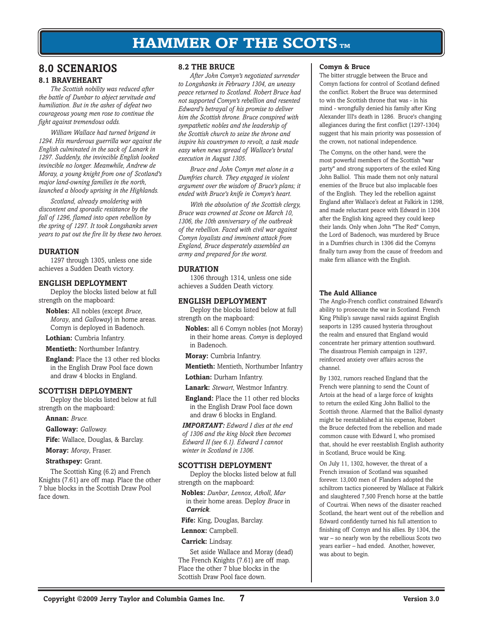# **8.0 SCENARIOS 8.1 braveheart**

*The Scottish nobility was reduced after the battle of Dunbar to abject servitude and humiliation. But in the ashes of defeat two courageous young men rose to continue the fight against tremendous odds.*

*William Wallace had turned brigand in 1294. His murderous guerrilla war against the English culminated in the sack of Lanark in 1297. Suddenly, the invincible English looked invincible no longer. Meanwhile, Andrew de Moray, a young knight from one of Scotland's major land-owning families in the north, launched a bloody uprising in the Highlands.*

*Scotland, already smoldering with discontent and sporadic resistance by the fall of 1296, flamed into open rebellion by the spring of 1297. It took Longshanks seven years to put out the fire lit by these two heroes.*

# **DURATION**

1297 through 1305, unless one side achieves a Sudden Death victory.

### **ENGLISH Deployment**

Deploy the blocks listed below at full strength on the mapboard:

**Nobles:** All nobles (except *Bruce*, *Moray*, and *Galloway*) in home areas. Comyn is deployed in Badenoch.

**Lothian:** Cumbria Infantry.

**Mentieth:** Northumber Infantry.

**England:** Place the 13 other red blocks in the English Draw Pool face down and draw 4 blocks in England.

# **SCOTTISH Deployment**

Deploy the blocks listed below at full strength on the mapboard:

**Annan:** *Bruce.*

**Galloway:** *Galloway.*

**Fife:** Wallace, Douglas, & Barclay.

**Moray:** *Moray*, Fraser.

**Strathspey:** Grant.

The Scottish King (6.2) and French Knights (7.61) are off map. Place the other 7 blue blocks in the Scottish Draw Pool face down.

# **8.2 the Bruce**

*After John Comyn's negotiated surrender to Longshanks in February 1304, an uneasy peace returned to Scotland. Robert Bruce had not supported Comyn's rebellion and resented Edward's betrayal of his promise to deliver him the Scottish throne. Bruce conspired with sympathetic nobles and the leadership of the Scottish church to seize the throne and inspire his countrymen to revolt, a task made easy when news spread of Wallace's brutal execution in August 1305.* 

*Bruce and John Comyn met alone in a Dumfries church. They engaged in violent argument over the wisdom of Bruce's plans; it ended with Bruce's knife in Comyn's heart.*

*With the absolution of the Scottish clergy, Bruce was crowned at Scone on March 10, 1306, the 10th anniversary of the outbreak of the rebellion. Faced with civil war against Comyn loyalists and imminent attack from England, Bruce desperately assembled an army and prepared for the worst.*

### **DURATION**

1306 through 1314, unless one side achieves a Sudden Death victory.

# **ENGLISH Deployment**

Deploy the blocks listed below at full strength on the mapboard:

**Nobles:** all 6 Comyn nobles (not Moray) in their home areas. *Comyn* is deployed in Badenoch.

**Moray:** Cumbria Infantry.

**Mentieth:** Mentieth, Northumber Infantry

**Lothian:** Durham Infantry.

**Lanark:** *Stewart*, Westmor Infantry.

**England:** Place the 11 other red blocks in the English Draw Pool face down and draw 6 blocks in England.

*Important: Edward I dies at the end of 1306 and the king block then becomes Edward II (see 6.1). Edward I cannot winter in Scotland in 1306.*

### **SCOTTISH Deployment**

Deploy the blocks listed below at full strength on the mapboard:

**Nobles:** *Dunbar*, *Lennox*, *Atholl*, *Mar* in their home areas. Deploy *Bruce* in *Carrick*.

**Fife:** King, Douglas, Barclay.

**Lennox:** Campbell.

### **Carrick:** Lindsay.

Set aside Wallace and Moray (dead) The French Knights (7.61) are off map. Place the other 7 blue blocks in the Scottish Draw Pool face down.

### **Comyn & Bruce**

The bitter struggle between the Bruce and Comyn factions for control of Scotland defined the conflict. Robert the Bruce was determined to win the Scottish throne that was - in his mind - wrongfully denied his family after King Alexander III's death in 1286. Bruce's changing allegiances during the first conflict (1297-1304) suggest that his main priority was possession of the crown, not national independence.

The Comyns, on the other hand, were the most powerful members of the Scottish "war party" and strong supporters of the exiled King John Balliol. This made them not only natural enemies of the Bruce but also implacable foes of the English. They led the rebellion against England after Wallace's defeat at Falkirk in 1298, and made reluctant peace with Edward in 1304 after the English king agreed they could keep their lands. Only when John "The Red" Comyn, the Lord of Badenoch, was murdered by Bruce in a Dumfries church in 1306 did the Comyns finally turn away from the cause of freedom and make firm alliance with the English.

### **The Auld Alliance**

The Anglo-French conflict constrained Edward's ability to prosecute the war in Scotland. French King Philip's savage naval raids against English seaports in 1295 caused hysteria throughout the realm and ensured that England would concentrate her primary attention southward. The disastrous Flemish campaign in 1297, reinforced anxiety over affairs across the channel.

By 1302, rumors reached England that the French were planning to send the Count of Artois at the head of a large force of knights to return the exiled King John Balliol to the Scottish throne. Alarmed that the Balliol dynasty might be reestablished at his expense, Robert the Bruce defected from the rebellion and made common cause with Edward I, who promised that, should he ever reestablish English authority in Scotland, Bruce would be King.

On July 11, 1302, however, the threat of a French invasion of Scotland was squashed forever. 13,000 men of Flanders adopted the schiltrom tactics pioneered by Wallace at Falkirk and slaughtered 7,500 French horse at the battle of Courtrai. When news of the disaster reached Scotland, the heart went out of the rebellion and Edward confidently turned his full attention to finishing off Comyn and his allies. By 1304, the war – so nearly won by the rebellious Scots two years earlier – had ended. Another, however, was about to begin.